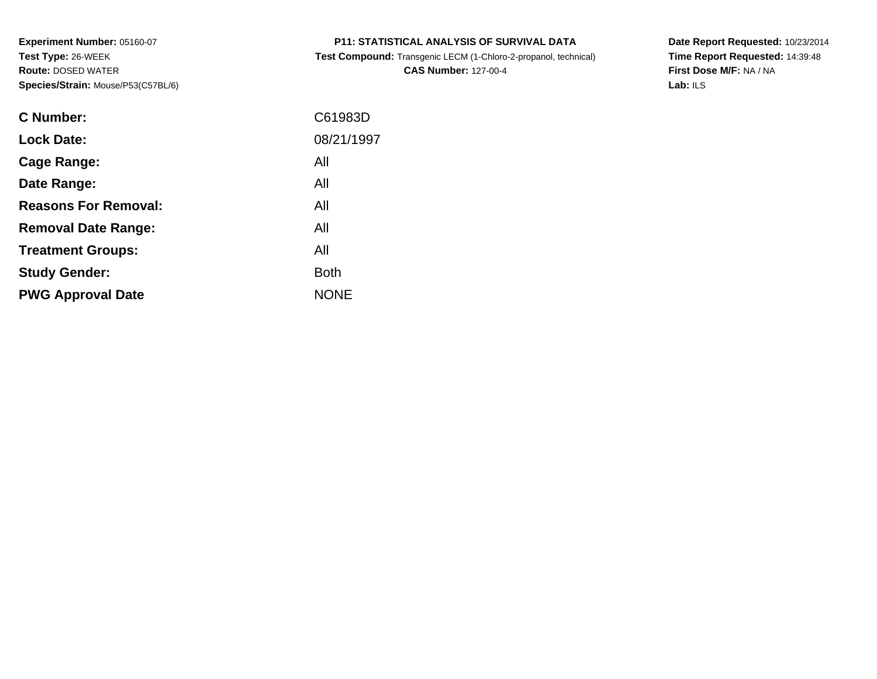**Test Compound:** Transgenic LECM (1-Chloro-2-propanol, technical)

**CAS Number:** 127-00-4

**Date Report Requested:** 10/23/2014 **Time Report Requested:** 14:39:48**First Dose M/F:** NA / NA**Lab:** ILS

| C Number:                   | C61983D     |
|-----------------------------|-------------|
| <b>Lock Date:</b>           | 08/21/1997  |
| Cage Range:                 | All         |
| Date Range:                 | All         |
| <b>Reasons For Removal:</b> | All         |
| <b>Removal Date Range:</b>  | All         |
| <b>Treatment Groups:</b>    | All         |
| <b>Study Gender:</b>        | <b>Both</b> |
| <b>PWG Approval Date</b>    | <b>NONE</b> |
|                             |             |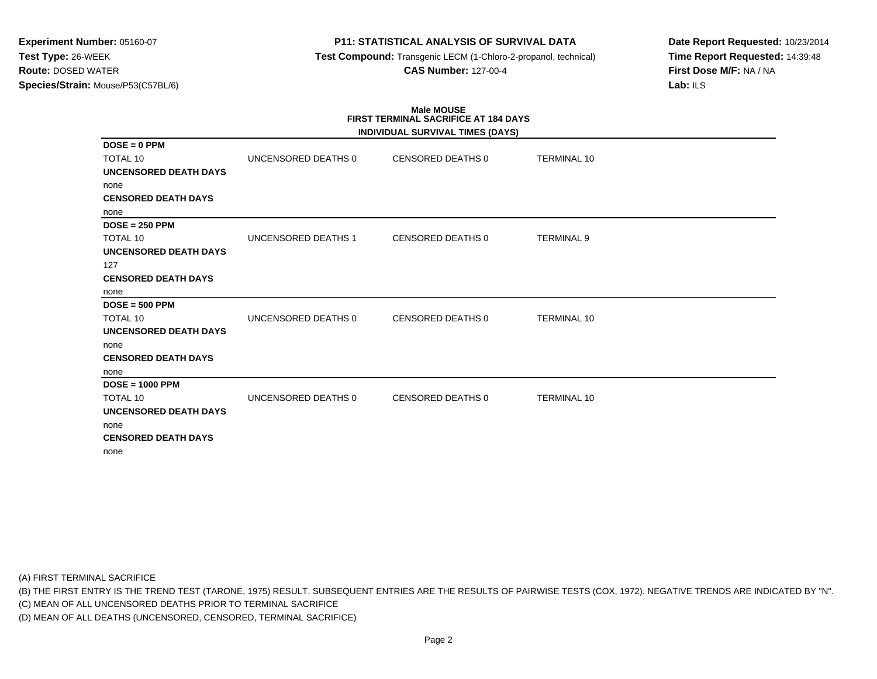## **P11: STATISTICAL ANALYSIS OF SURVIVAL DATA**

**Test Compound:** Transgenic LECM (1-Chloro-2-propanol, technical)

**CAS Number:** 127-00-4

**Date Report Requested:** 10/23/2014**Time Report Requested:** 14:39:48**First Dose M/F:** NA / NA**Lab:** ILS

# **Male MOUSEFIRST TERMINAL SACRIFICE AT 184 DAYS**

|                              |                     | INDIVIDUAL SURVIVAL TIMES (DAYS) |                    |  |
|------------------------------|---------------------|----------------------------------|--------------------|--|
| $DOSE = 0$ PPM               |                     |                                  |                    |  |
| <b>TOTAL 10</b>              | UNCENSORED DEATHS 0 | CENSORED DEATHS 0                | <b>TERMINAL 10</b> |  |
| <b>UNCENSORED DEATH DAYS</b> |                     |                                  |                    |  |
| none                         |                     |                                  |                    |  |
| <b>CENSORED DEATH DAYS</b>   |                     |                                  |                    |  |
| none                         |                     |                                  |                    |  |
| $DOSE = 250$ PPM             |                     |                                  |                    |  |
| TOTAL 10                     | UNCENSORED DEATHS 1 | <b>CENSORED DEATHS 0</b>         | <b>TERMINAL 9</b>  |  |
| <b>UNCENSORED DEATH DAYS</b> |                     |                                  |                    |  |
| 127                          |                     |                                  |                    |  |
| <b>CENSORED DEATH DAYS</b>   |                     |                                  |                    |  |
| none                         |                     |                                  |                    |  |
| $DOSE = 500$ PPM             |                     |                                  |                    |  |
| <b>TOTAL 10</b>              | UNCENSORED DEATHS 0 | <b>CENSORED DEATHS 0</b>         | <b>TERMINAL 10</b> |  |
| UNCENSORED DEATH DAYS        |                     |                                  |                    |  |
| none                         |                     |                                  |                    |  |
| <b>CENSORED DEATH DAYS</b>   |                     |                                  |                    |  |
| none                         |                     |                                  |                    |  |
| $DOSE = 1000$ PPM            |                     |                                  |                    |  |
| TOTAL 10                     | UNCENSORED DEATHS 0 | <b>CENSORED DEATHS 0</b>         | <b>TERMINAL 10</b> |  |
| <b>UNCENSORED DEATH DAYS</b> |                     |                                  |                    |  |
| none                         |                     |                                  |                    |  |
| <b>CENSORED DEATH DAYS</b>   |                     |                                  |                    |  |
| none                         |                     |                                  |                    |  |

(A) FIRST TERMINAL SACRIFICE

(B) THE FIRST ENTRY IS THE TREND TEST (TARONE, 1975) RESULT. SUBSEQUENT ENTRIES ARE THE RESULTS OF PAIRWISE TESTS (COX, 1972). NEGATIVE TRENDS ARE INDICATED BY "N".

(C) MEAN OF ALL UNCENSORED DEATHS PRIOR TO TERMINAL SACRIFICE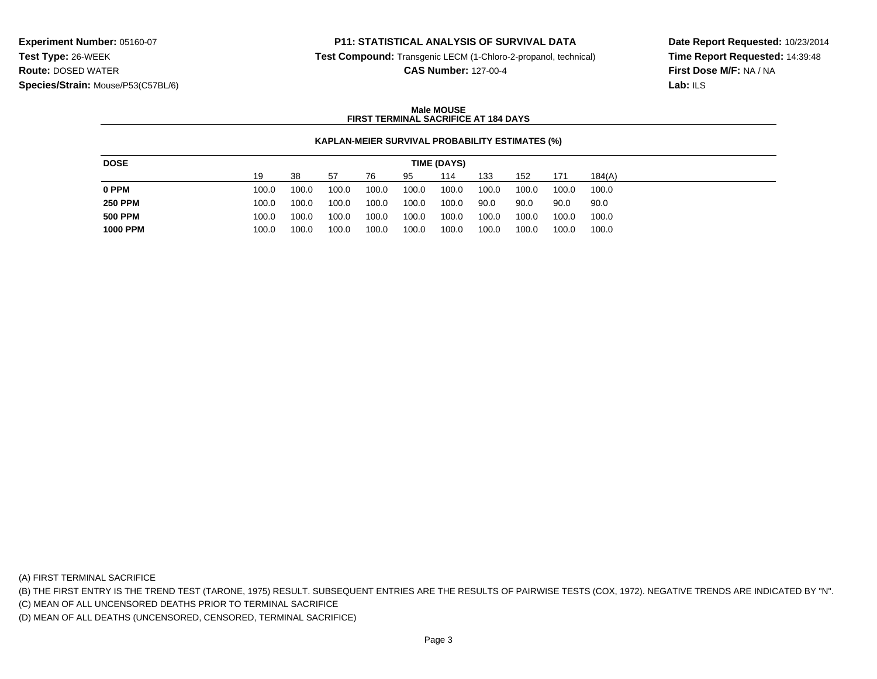## **P11: STATISTICAL ANALYSIS OF SURVIVAL DATA**

**Test Compound:** Transgenic LECM (1-Chloro-2-propanol, technical)

**CAS Number:** 127-00-4

**Date Report Requested:** 10/23/2014**Time Report Requested:** 14:39:48**First Dose M/F:** NA / NA**Lab:** ILS

#### **Male MOUSEFIRST TERMINAL SACRIFICE AT 184 DAYS**

#### **KAPLAN-MEIER SURVIVAL PROBABILITY ESTIMATES (%)**

| 19<br>38<br>133<br>-57<br>152<br>184(A)<br>114<br>171<br>76<br>95                                         |
|-----------------------------------------------------------------------------------------------------------|
| 0 PPM<br>100.0<br>100.0<br>100.0<br>100.0<br>100.0<br>100.0<br>100.0<br>100.0<br>100.0<br>100.0           |
| <b>250 PPM</b><br>100.0<br>100.0<br>100.0<br>100.0<br>90.0<br>100.0<br>90.0<br>90.0<br>100.0<br>90.0      |
| <b>500 PPM</b><br>100.0<br>100.0<br>100.0<br>100.0<br>100.0<br>100.0<br>100.0<br>100.0<br>100.0<br>100.0  |
| <b>1000 PPM</b><br>100.0<br>100.0<br>100.0<br>100.0<br>100.0<br>100.0<br>100.0<br>100.0<br>100.0<br>100.0 |

(A) FIRST TERMINAL SACRIFICE

(B) THE FIRST ENTRY IS THE TREND TEST (TARONE, 1975) RESULT. SUBSEQUENT ENTRIES ARE THE RESULTS OF PAIRWISE TESTS (COX, 1972). NEGATIVE TRENDS ARE INDICATED BY "N".

(C) MEAN OF ALL UNCENSORED DEATHS PRIOR TO TERMINAL SACRIFICE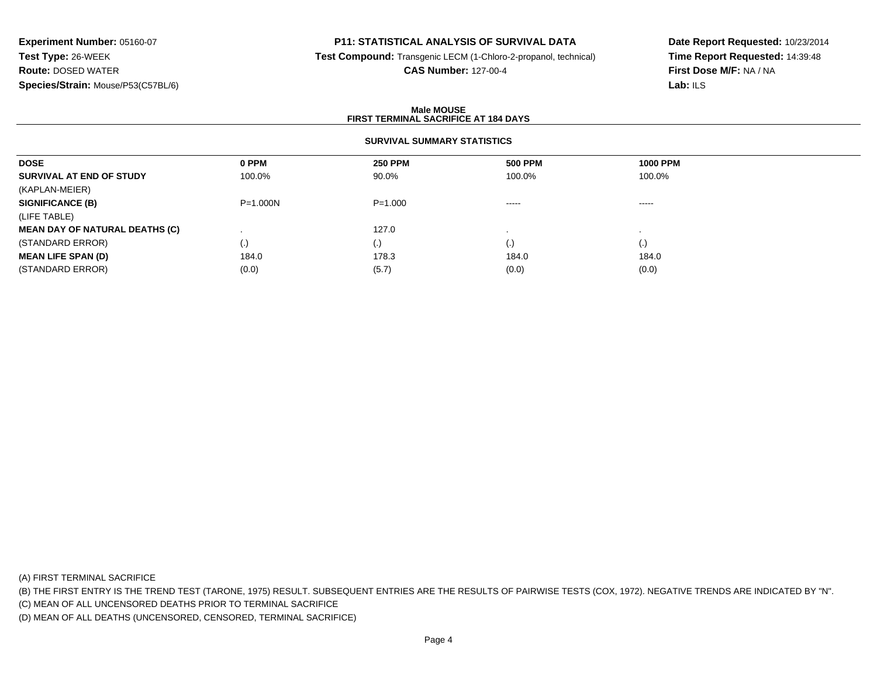## **P11: STATISTICAL ANALYSIS OF SURVIVAL DATA**

**Test Compound:** Transgenic LECM (1-Chloro-2-propanol, technical)

#### **CAS Number:** 127-00-4

**Date Report Requested:** 10/23/2014**Time Report Requested:** 14:39:48**First Dose M/F:** NA / NA**Lab:** ILS

#### **Male MOUSEFIRST TERMINAL SACRIFICE AT 184 DAYS**

## **SURVIVAL SUMMARY STATISTICS**

| <b>DOSE</b>                           | 0 PPM        | <b>250 PPM</b> | <b>500 PPM</b> | <b>1000 PPM</b> |  |
|---------------------------------------|--------------|----------------|----------------|-----------------|--|
| SURVIVAL AT END OF STUDY              | 100.0%       | 90.0%          | 100.0%         | 100.0%          |  |
| (KAPLAN-MEIER)                        |              |                |                |                 |  |
| <b>SIGNIFICANCE (B)</b>               | $P = 1.000N$ | $P = 1.000$    | -----          | -----           |  |
| (LIFE TABLE)                          |              |                |                |                 |  |
| <b>MEAN DAY OF NATURAL DEATHS (C)</b> |              | 127.0          |                |                 |  |
| (STANDARD ERROR)                      | (.)          | (.)            | (.)            | (.)             |  |
| <b>MEAN LIFE SPAN (D)</b>             | 184.0        | 178.3          | 184.0          | 184.0           |  |
| (STANDARD ERROR)                      | (0.0)        | (5.7)          | (0.0)          | (0.0)           |  |

(A) FIRST TERMINAL SACRIFICE

(B) THE FIRST ENTRY IS THE TREND TEST (TARONE, 1975) RESULT. SUBSEQUENT ENTRIES ARE THE RESULTS OF PAIRWISE TESTS (COX, 1972). NEGATIVE TRENDS ARE INDICATED BY "N".

(C) MEAN OF ALL UNCENSORED DEATHS PRIOR TO TERMINAL SACRIFICE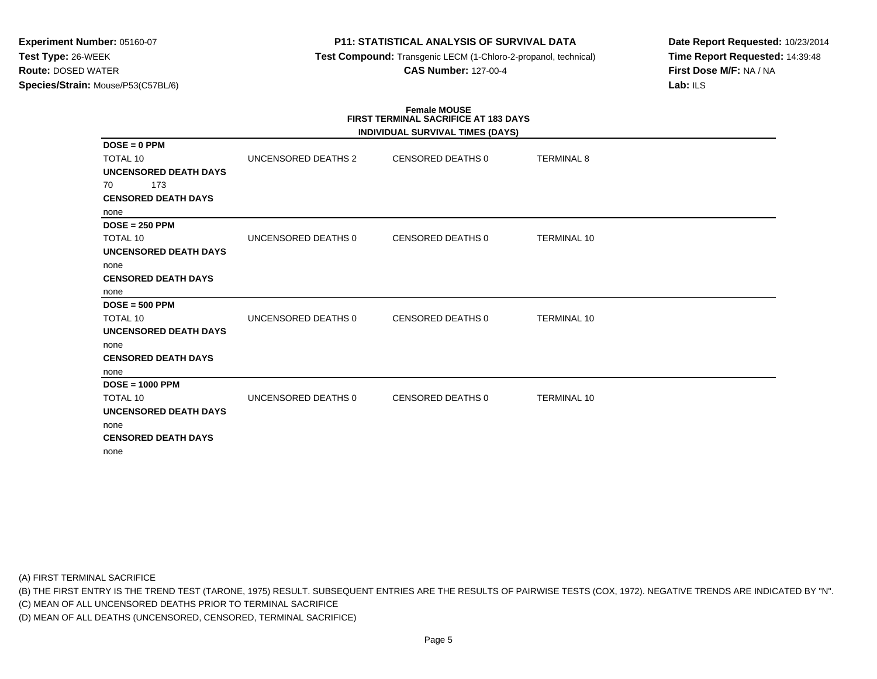## **P11: STATISTICAL ANALYSIS OF SURVIVAL DATA**

**Test Compound:** Transgenic LECM (1-Chloro-2-propanol, technical)

**CAS Number:** 127-00-4

**Date Report Requested:** 10/23/2014**Time Report Requested:** 14:39:48**First Dose M/F:** NA / NA**Lab:** ILS

#### **Female MOUSE FIRST TERMINAL SACRIFICE AT 183 DAYSINDIVIDUAL SURVIVAL TIMES (DAYS)**

|                              |                     | INDIVIDUAL SURVIVAL TIMES (DAYS) |                    |  |
|------------------------------|---------------------|----------------------------------|--------------------|--|
| $DOSE = 0$ PPM               |                     |                                  |                    |  |
| <b>TOTAL 10</b>              | UNCENSORED DEATHS 2 | <b>CENSORED DEATHS 0</b>         | <b>TERMINAL 8</b>  |  |
| UNCENSORED DEATH DAYS        |                     |                                  |                    |  |
| 173<br>70                    |                     |                                  |                    |  |
| <b>CENSORED DEATH DAYS</b>   |                     |                                  |                    |  |
| none                         |                     |                                  |                    |  |
| $DOSE = 250$ PPM             |                     |                                  |                    |  |
| <b>TOTAL 10</b>              | UNCENSORED DEATHS 0 | CENSORED DEATHS 0                | <b>TERMINAL 10</b> |  |
| UNCENSORED DEATH DAYS        |                     |                                  |                    |  |
| none                         |                     |                                  |                    |  |
| <b>CENSORED DEATH DAYS</b>   |                     |                                  |                    |  |
| none                         |                     |                                  |                    |  |
| $DOSE = 500$ PPM             |                     |                                  |                    |  |
| TOTAL 10                     | UNCENSORED DEATHS 0 | <b>CENSORED DEATHS 0</b>         | <b>TERMINAL 10</b> |  |
| <b>UNCENSORED DEATH DAYS</b> |                     |                                  |                    |  |
| none                         |                     |                                  |                    |  |
| <b>CENSORED DEATH DAYS</b>   |                     |                                  |                    |  |
| none                         |                     |                                  |                    |  |
| $DOSE = 1000$ PPM            |                     |                                  |                    |  |
| TOTAL 10                     | UNCENSORED DEATHS 0 | <b>CENSORED DEATHS 0</b>         | <b>TERMINAL 10</b> |  |
| <b>UNCENSORED DEATH DAYS</b> |                     |                                  |                    |  |
| none                         |                     |                                  |                    |  |
| <b>CENSORED DEATH DAYS</b>   |                     |                                  |                    |  |
| none                         |                     |                                  |                    |  |

(A) FIRST TERMINAL SACRIFICE

(B) THE FIRST ENTRY IS THE TREND TEST (TARONE, 1975) RESULT. SUBSEQUENT ENTRIES ARE THE RESULTS OF PAIRWISE TESTS (COX, 1972). NEGATIVE TRENDS ARE INDICATED BY "N".

(C) MEAN OF ALL UNCENSORED DEATHS PRIOR TO TERMINAL SACRIFICE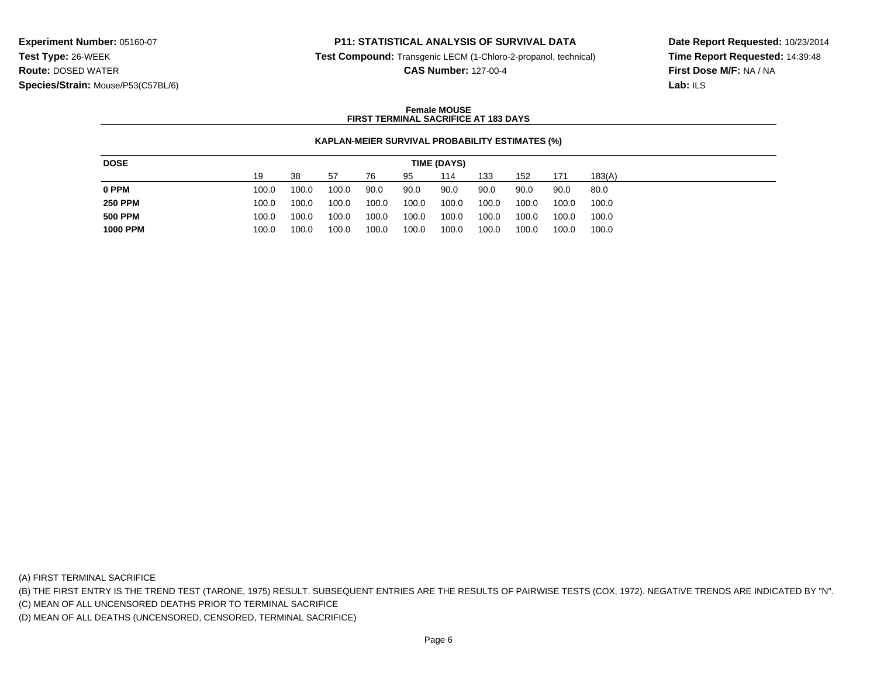## **P11: STATISTICAL ANALYSIS OF SURVIVAL DATA**

**Test Compound:** Transgenic LECM (1-Chloro-2-propanol, technical)

**CAS Number:** 127-00-4

**Date Report Requested:** 10/23/2014**Time Report Requested:** 14:39:48**First Dose M/F:** NA / NA**Lab:** ILS

#### **Female MOUSEFIRST TERMINAL SACRIFICE AT 183 DAYS**

#### **KAPLAN-MEIER SURVIVAL PROBABILITY ESTIMATES (%)**

| 38<br>133<br>19<br>95<br>114<br>152<br>183(A)<br>-57<br>76<br>171<br>0 PPM<br>100.0<br>100.0<br>90.0<br>90.0<br>100.0<br>90.0<br>90.0<br>90.0<br>90.0<br>80.0<br><b>250 PPM</b><br>100.0<br>100.0<br>100.0<br>100.0<br>100.0<br>100.0<br>100.0<br>100.0<br>100.0<br>100.0<br><b>500 PPM</b><br>100.0<br>100.0<br>100.0<br>100.0<br>100.0<br>100.0<br>100.0<br>100.0<br>100.0<br>100.0 |
|---------------------------------------------------------------------------------------------------------------------------------------------------------------------------------------------------------------------------------------------------------------------------------------------------------------------------------------------------------------------------------------|
|                                                                                                                                                                                                                                                                                                                                                                                       |
|                                                                                                                                                                                                                                                                                                                                                                                       |
|                                                                                                                                                                                                                                                                                                                                                                                       |
|                                                                                                                                                                                                                                                                                                                                                                                       |
| <b>1000 PPM</b><br>100.0<br>100.0<br>100.0<br>100.0<br>100.0<br>100.0<br>100.0<br>100.0<br>100.0<br>100.0                                                                                                                                                                                                                                                                             |

(A) FIRST TERMINAL SACRIFICE

(B) THE FIRST ENTRY IS THE TREND TEST (TARONE, 1975) RESULT. SUBSEQUENT ENTRIES ARE THE RESULTS OF PAIRWISE TESTS (COX, 1972). NEGATIVE TRENDS ARE INDICATED BY "N".

(C) MEAN OF ALL UNCENSORED DEATHS PRIOR TO TERMINAL SACRIFICE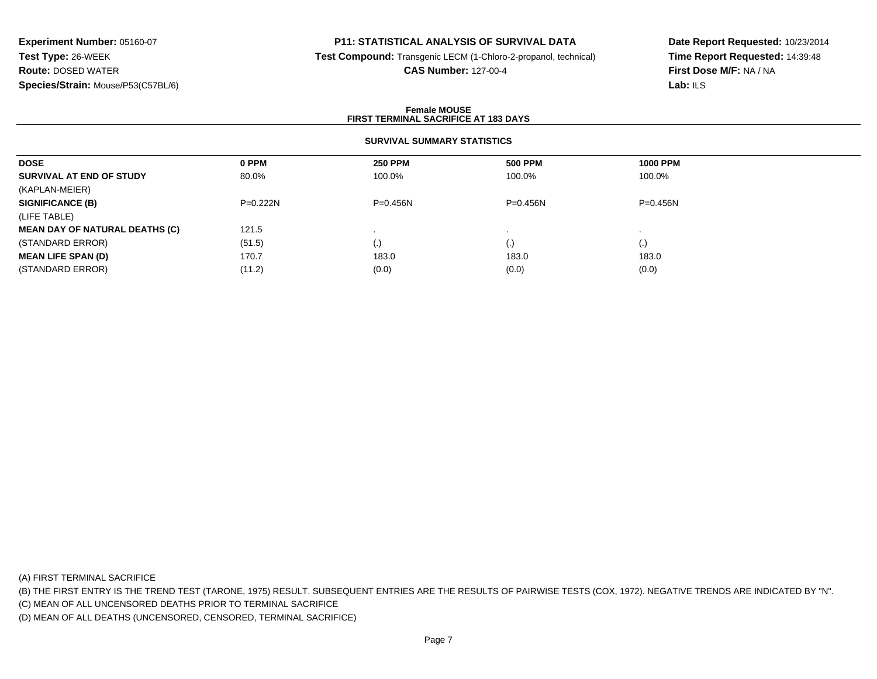## **P11: STATISTICAL ANALYSIS OF SURVIVAL DATA**

**Test Compound:** Transgenic LECM (1-Chloro-2-propanol, technical)

#### **CAS Number:** 127-00-4

**Date Report Requested:** 10/23/2014**Time Report Requested:** 14:39:48**First Dose M/F:** NA / NA**Lab:** ILS

#### **Female MOUSEFIRST TERMINAL SACRIFICE AT 183 DAYS**

#### **SURVIVAL SUMMARY STATISTICS**

| 0 PPM      | <b>250 PPM</b> | <b>500 PPM</b>         | <b>1000 PPM</b>    |
|------------|----------------|------------------------|--------------------|
| 80.0%      | 100.0%         | 100.0%                 | 100.0%             |
|            |                |                        |                    |
| $P=0.222N$ | $P = 0.456N$   | $P = 0.456N$           | $P = 0.456N$       |
|            |                |                        |                    |
| 121.5      |                |                        |                    |
| (51.5)     | (.)            | $\left( \cdot \right)$ | $\left( . \right)$ |
| 170.7      | 183.0          | 183.0                  | 183.0              |
| (11.2)     | (0.0)          | (0.0)                  | (0.0)              |
|            |                |                        |                    |

(A) FIRST TERMINAL SACRIFICE

(B) THE FIRST ENTRY IS THE TREND TEST (TARONE, 1975) RESULT. SUBSEQUENT ENTRIES ARE THE RESULTS OF PAIRWISE TESTS (COX, 1972). NEGATIVE TRENDS ARE INDICATED BY "N".

(C) MEAN OF ALL UNCENSORED DEATHS PRIOR TO TERMINAL SACRIFICE